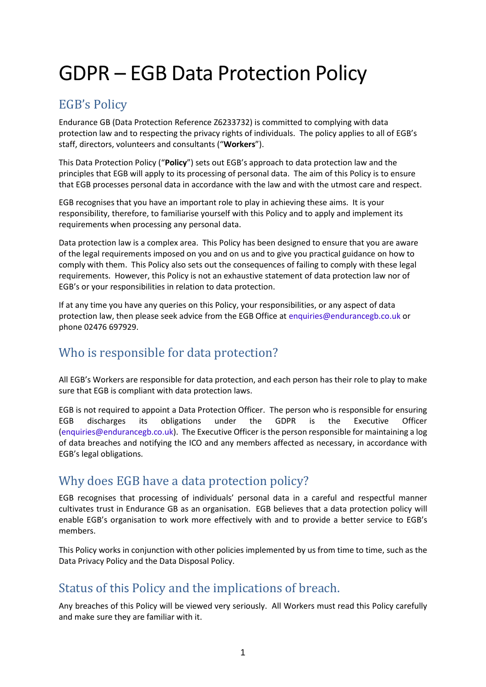# GDPR – EGB Data Protection Policy

# EGB's Policy

Endurance GB (Data Protection Reference Z6233732) is committed to complying with data protection law and to respecting the privacy rights of individuals. The policy applies to all of EGB's staff, directors, volunteers and consultants ("**Workers**").

This Data Protection Policy ("**Policy**") sets out EGB's approach to data protection law and the principles that EGB will apply to its processing of personal data. The aim of this Policy is to ensure that EGB processes personal data in accordance with the law and with the utmost care and respect.

EGB recognises that you have an important role to play in achieving these aims. It is your responsibility, therefore, to familiarise yourself with this Policy and to apply and implement its requirements when processing any personal data.

Data protection law is a complex area. This Policy has been designed to ensure that you are aware of the legal requirements imposed on you and on us and to give you practical guidance on how to comply with them. This Policy also sets out the consequences of failing to comply with these legal requirements. However, this Policy is not an exhaustive statement of data protection law nor of EGB's or your responsibilities in relation to data protection.

If at any time you have any queries on this Policy, your responsibilities, or any aspect of data protection law, then please seek advice from the EGB Office at [enquiries@endurancegb.co.uk](mailto:enquiries@endurancegb.co.uk) or phone 02476 697929.

# Who is responsible for data protection?

All EGB's Workers are responsible for data protection, and each person has their role to play to make sure that EGB is compliant with data protection laws.

EGB is not required to appoint a Data Protection Officer. The person who is responsible for ensuring EGB discharges its obligations under the GDPR is the Executive Officer [\(enquiries@endurancegb.co.uk\)](mailto:enquiries@endurancegb.co.uk). The Executive Officer is the person responsible for maintaining a log of data breaches and notifying the ICO and any members affected as necessary, in accordance with EGB's legal obligations.

# Why does EGB have a data protection policy?

EGB recognises that processing of individuals' personal data in a careful and respectful manner cultivates trust in Endurance GB as an organisation. EGB believes that a data protection policy will enable EGB's organisation to work more effectively with and to provide a better service to EGB's members.

This Policy works in conjunction with other policies implemented by us from time to time, such as the Data Privacy Policy and the Data Disposal Policy.

# Status of this Policy and the implications of breach.

Any breaches of this Policy will be viewed very seriously. All Workers must read this Policy carefully and make sure they are familiar with it.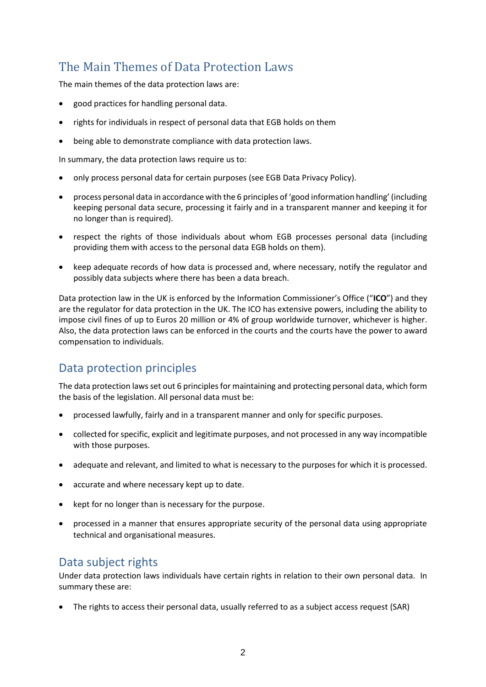# The Main Themes of Data Protection Laws

The main themes of the data protection laws are:

- good practices for handling personal data.
- rights for individuals in respect of personal data that EGB holds on them
- being able to demonstrate compliance with data protection laws.

In summary, the data protection laws require us to:

- only process personal data for certain purposes (see EGB Data Privacy Policy).
- process personal data in accordance with the 6 principles of 'good information handling' (including keeping personal data secure, processing it fairly and in a transparent manner and keeping it for no longer than is required).
- respect the rights of those individuals about whom EGB processes personal data (including providing them with access to the personal data EGB holds on them).
- keep adequate records of how data is processed and, where necessary, notify the regulator and possibly data subjects where there has been a data breach.

Data protection law in the UK is enforced by the Information Commissioner's Office ("**ICO**") and they are the regulator for data protection in the UK. The ICO has extensive powers, including the ability to impose civil fines of up to Euros 20 million or 4% of group worldwide turnover, whichever is higher. Also, the data protection laws can be enforced in the courts and the courts have the power to award compensation to individuals.

#### Data protection principles

The data protection laws set out 6 principles for maintaining and protecting personal data, which form the basis of the legislation. All personal data must be:

- processed lawfully, fairly and in a transparent manner and only for specific purposes.
- collected for specific, explicit and legitimate purposes, and not processed in any way incompatible with those purposes.
- adequate and relevant, and limited to what is necessary to the purposes for which it is processed.
- accurate and where necessary kept up to date.
- kept for no longer than is necessary for the purpose.
- processed in a manner that ensures appropriate security of the personal data using appropriate technical and organisational measures.

#### Data subject rights

Under data protection laws individuals have certain rights in relation to their own personal data. In summary these are:

• The rights to access their personal data, usually referred to as a subject access request (SAR)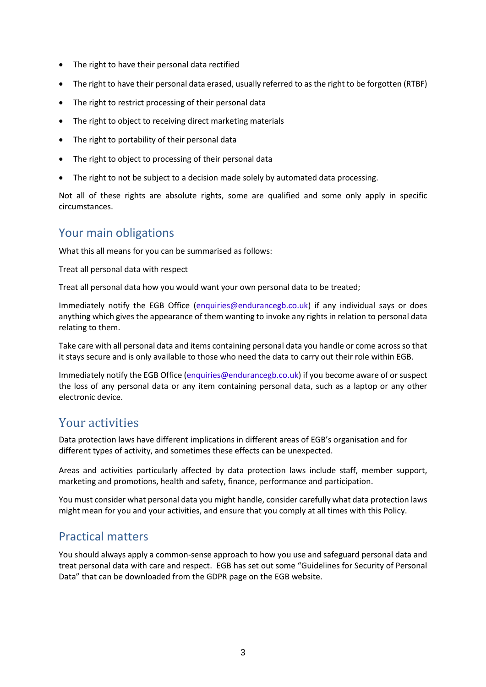- The right to have their personal data rectified
- The right to have their personal data erased, usually referred to as the right to be forgotten (RTBF)
- The right to restrict processing of their personal data
- The right to object to receiving direct marketing materials
- The right to portability of their personal data
- The right to object to processing of their personal data
- The right to not be subject to a decision made solely by automated data processing.

Not all of these rights are absolute rights, some are qualified and some only apply in specific circumstances.

#### Your main obligations

What this all means for you can be summarised as follows:

Treat all personal data with respect

Treat all personal data how you would want your own personal data to be treated;

Immediately notify the EGB Office [\(enquiries@endurancegb.co.uk\)](mailto:enquiries@endurancegb.co.uk) if any individual says or does anything which gives the appearance of them wanting to invoke any rights in relation to personal data relating to them.

Take care with all personal data and items containing personal data you handle or come across so that it stays secure and is only available to those who need the data to carry out their role within EGB.

Immediately notify the EGB Office [\(enquiries@endurancegb.co.uk\)](mailto:enquiries@endurancegb.co.uk) if you become aware of or suspect the loss of any personal data or any item containing personal data, such as a laptop or any other electronic device.

#### Your activities

Data protection laws have different implications in different areas of EGB's organisation and for different types of activity, and sometimes these effects can be unexpected.

Areas and activities particularly affected by data protection laws include staff, member support, marketing and promotions, health and safety, finance, performance and participation.

You must consider what personal data you might handle, consider carefully what data protection laws might mean for you and your activities, and ensure that you comply at all times with this Policy.

#### Practical matters

You should always apply a common-sense approach to how you use and safeguard personal data and treat personal data with care and respect. EGB has set out some "Guidelines for Security of Personal Data" that can be downloaded from the GDPR page on the EGB website.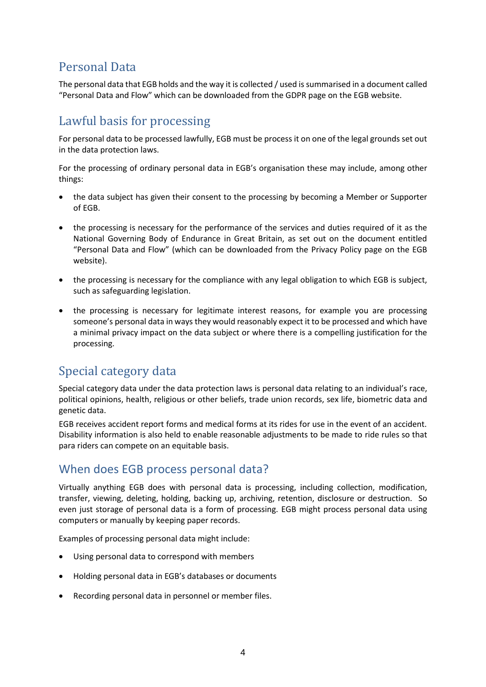# Personal Data

The personal data that EGB holds and the way it is collected / used issummarised in a document called "Personal Data and Flow" which can be downloaded from the GDPR page on the EGB website.

# Lawful basis for processing

For personal data to be processed lawfully, EGB must be process it on one of the legal grounds set out in the data protection laws.

For the processing of ordinary personal data in EGB's organisation these may include, among other things:

- the data subject has given their consent to the processing by becoming a Member or Supporter of EGB.
- the processing is necessary for the performance of the services and duties required of it as the National Governing Body of Endurance in Great Britain, as set out on the document entitled "Personal Data and Flow" (which can be downloaded from the Privacy Policy page on the EGB website).
- the processing is necessary for the compliance with any legal obligation to which EGB is subject, such as safeguarding legislation.
- the processing is necessary for legitimate interest reasons, for example you are processing someone's personal data in ways they would reasonably expect it to be processed and which have a minimal privacy impact on the data subject or where there is a compelling justification for the processing.

# Special category data

Special category data under the data protection laws is personal data relating to an individual's race, political opinions, health, religious or other beliefs, trade union records, sex life, biometric data and genetic data.

EGB receives accident report forms and medical forms at its rides for use in the event of an accident. Disability information is also held to enable reasonable adjustments to be made to ride rules so that para riders can compete on an equitable basis.

#### When does EGB process personal data?

Virtually anything EGB does with personal data is processing, including collection, modification, transfer, viewing, deleting, holding, backing up, archiving, retention, disclosure or destruction. So even just storage of personal data is a form of processing. EGB might process personal data using computers or manually by keeping paper records.

Examples of processing personal data might include:

- Using personal data to correspond with members
- Holding personal data in EGB's databases or documents
- Recording personal data in personnel or member files.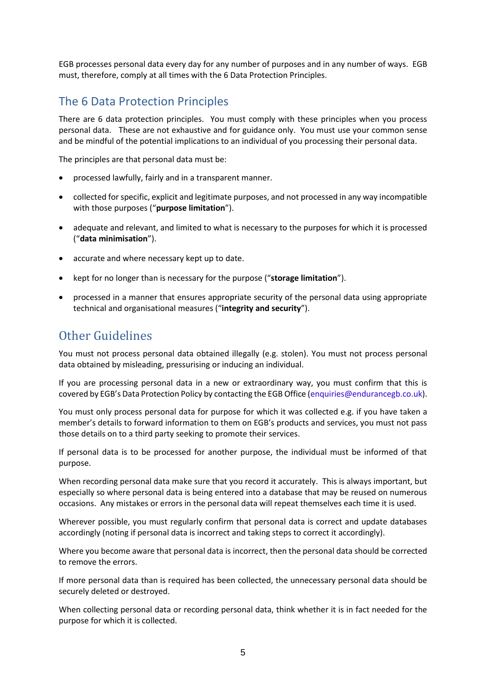EGB processes personal data every day for any number of purposes and in any number of ways. EGB must, therefore, comply at all times with the 6 Data Protection Principles.

#### The 6 Data Protection Principles

There are 6 data protection principles. You must comply with these principles when you process personal data. These are not exhaustive and for guidance only. You must use your common sense and be mindful of the potential implications to an individual of you processing their personal data.

The principles are that personal data must be:

- processed lawfully, fairly and in a transparent manner.
- collected for specific, explicit and legitimate purposes, and not processed in any way incompatible with those purposes ("**purpose limitation**").
- adequate and relevant, and limited to what is necessary to the purposes for which it is processed ("**data minimisation**").
- accurate and where necessary kept up to date.
- kept for no longer than is necessary for the purpose ("**storage limitation**").
- processed in a manner that ensures appropriate security of the personal data using appropriate technical and organisational measures ("**integrity and security**").

# Other Guidelines

You must not process personal data obtained illegally (e.g. stolen). You must not process personal data obtained by misleading, pressurising or inducing an individual.

If you are processing personal data in a new or extraordinary way, you must confirm that this is covered by EGB's Data Protection Policy by contacting the EGB Office [\(enquiries@endurancegb.co.uk\)](mailto:enquiries@endurancegb.co.uk).

You must only process personal data for purpose for which it was collected e.g. if you have taken a member's details to forward information to them on EGB's products and services, you must not pass those details on to a third party seeking to promote their services.

If personal data is to be processed for another purpose, the individual must be informed of that purpose.

When recording personal data make sure that you record it accurately. This is always important, but especially so where personal data is being entered into a database that may be reused on numerous occasions. Any mistakes or errors in the personal data will repeat themselves each time it is used.

Wherever possible, you must regularly confirm that personal data is correct and update databases accordingly (noting if personal data is incorrect and taking steps to correct it accordingly).

Where you become aware that personal data is incorrect, then the personal data should be corrected to remove the errors.

If more personal data than is required has been collected, the unnecessary personal data should be securely deleted or destroyed.

When collecting personal data or recording personal data, think whether it is in fact needed for the purpose for which it is collected.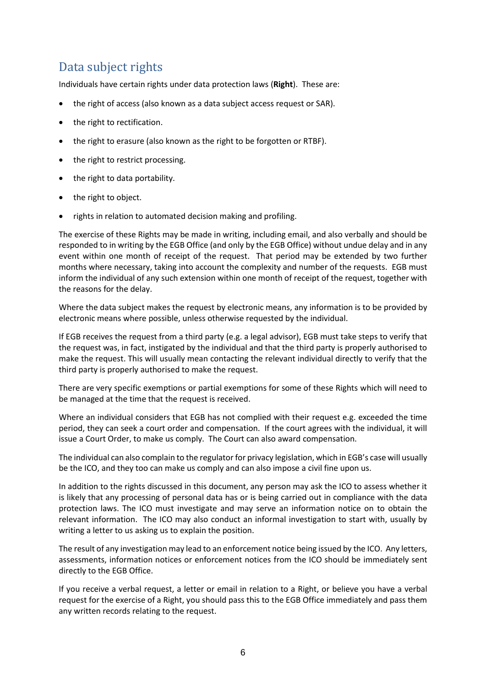# Data subject rights

Individuals have certain rights under data protection laws (**Right**). These are:

- the right of access (also known as a data subject access request or SAR).
- the right to rectification.
- the right to erasure (also known as the right to be forgotten or RTBF).
- the right to restrict processing.
- the right to data portability.
- the right to object.
- rights in relation to automated decision making and profiling.

The exercise of these Rights may be made in writing, including email, and also verbally and should be responded to in writing by the EGB Office (and only by the EGB Office) without undue delay and in any event within one month of receipt of the request. That period may be extended by two further months where necessary, taking into account the complexity and number of the requests. EGB must inform the individual of any such extension within one month of receipt of the request, together with the reasons for the delay.

Where the data subject makes the request by electronic means, any information is to be provided by electronic means where possible, unless otherwise requested by the individual.

If EGB receives the request from a third party (e.g. a legal advisor), EGB must take steps to verify that the request was, in fact, instigated by the individual and that the third party is properly authorised to make the request. This will usually mean contacting the relevant individual directly to verify that the third party is properly authorised to make the request.

There are very specific exemptions or partial exemptions for some of these Rights which will need to be managed at the time that the request is received.

Where an individual considers that EGB has not complied with their request e.g. exceeded the time period, they can seek a court order and compensation. If the court agrees with the individual, it will issue a Court Order, to make us comply. The Court can also award compensation.

The individual can also complain to the regulator for privacy legislation, which in EGB's case will usually be the ICO, and they too can make us comply and can also impose a civil fine upon us.

In addition to the rights discussed in this document, any person may ask the ICO to assess whether it is likely that any processing of personal data has or is being carried out in compliance with the data protection laws. The ICO must investigate and may serve an information notice on to obtain the relevant information. The ICO may also conduct an informal investigation to start with, usually by writing a letter to us asking us to explain the position.

The result of any investigation may lead to an enforcement notice being issued by the ICO. Any letters, assessments, information notices or enforcement notices from the ICO should be immediately sent directly to the EGB Office.

If you receive a verbal request, a letter or email in relation to a Right, or believe you have a verbal request for the exercise of a Right, you should pass this to the EGB Office immediately and pass them any written records relating to the request.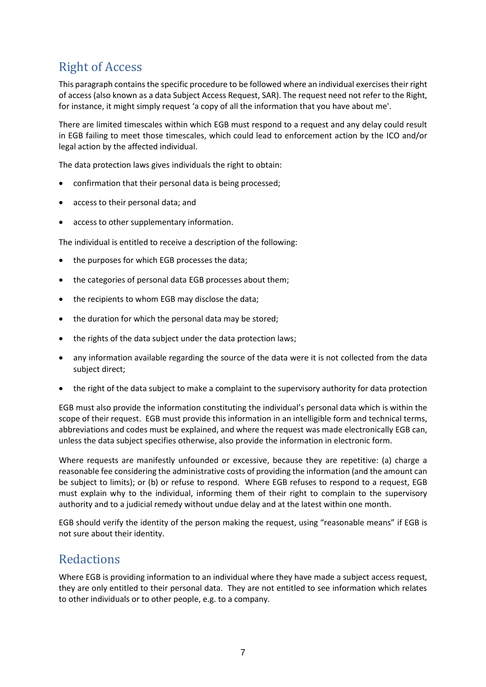# Right of Access

This paragraph contains the specific procedure to be followed where an individual exercises their right of access (also known as a data Subject Access Request, SAR). The request need not refer to the Right, for instance, it might simply request 'a copy of all the information that you have about me'.

There are limited timescales within which EGB must respond to a request and any delay could result in EGB failing to meet those timescales, which could lead to enforcement action by the ICO and/or legal action by the affected individual.

The data protection laws gives individuals the right to obtain:

- confirmation that their personal data is being processed;
- access to their personal data; and
- access to other supplementary information.

The individual is entitled to receive a description of the following:

- the purposes for which EGB processes the data;
- the categories of personal data EGB processes about them;
- the recipients to whom EGB may disclose the data;
- the duration for which the personal data may be stored;
- the rights of the data subject under the data protection laws;
- any information available regarding the source of the data were it is not collected from the data subject direct;
- the right of the data subject to make a complaint to the supervisory authority for data protection

EGB must also provide the information constituting the individual's personal data which is within the scope of their request. EGB must provide this information in an intelligible form and technical terms, abbreviations and codes must be explained, and where the request was made electronically EGB can, unless the data subject specifies otherwise, also provide the information in electronic form.

Where requests are manifestly unfounded or excessive, because they are repetitive: (a) charge a reasonable fee considering the administrative costs of providing the information (and the amount can be subject to limits); or (b) or refuse to respond. Where EGB refuses to respond to a request, EGB must explain why to the individual, informing them of their right to complain to the supervisory authority and to a judicial remedy without undue delay and at the latest within one month.

EGB should verify the identity of the person making the request, using "reasonable means" if EGB is not sure about their identity.

#### **Redactions**

Where EGB is providing information to an individual where they have made a subject access request, they are only entitled to their personal data. They are not entitled to see information which relates to other individuals or to other people, e.g. to a company.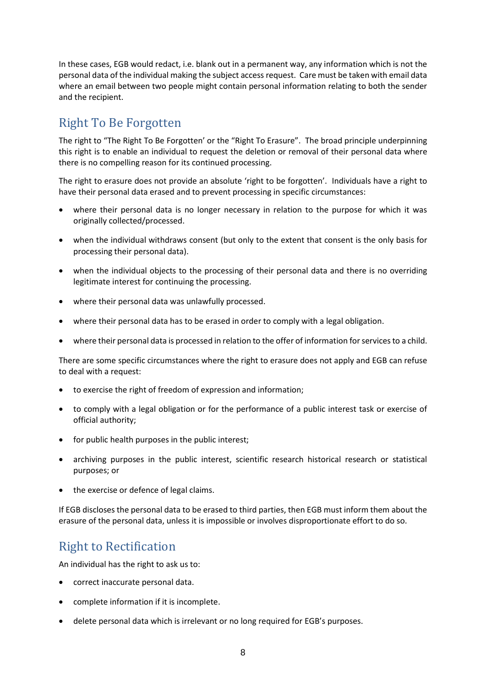In these cases, EGB would redact, i.e. blank out in a permanent way, any information which is not the personal data of the individual making the subject access request. Care must be taken with email data where an email between two people might contain personal information relating to both the sender and the recipient.

# Right To Be Forgotten

The right to "The Right To Be Forgotten' or the "Right To Erasure". The broad principle underpinning this right is to enable an individual to request the deletion or removal of their personal data where there is no compelling reason for its continued processing.

The right to erasure does not provide an absolute 'right to be forgotten'. Individuals have a right to have their personal data erased and to prevent processing in specific circumstances:

- where their personal data is no longer necessary in relation to the purpose for which it was originally collected/processed.
- when the individual withdraws consent (but only to the extent that consent is the only basis for processing their personal data).
- when the individual objects to the processing of their personal data and there is no overriding legitimate interest for continuing the processing.
- where their personal data was unlawfully processed.
- where their personal data has to be erased in order to comply with a legal obligation.
- where their personal data is processed in relation to the offer of information for services to a child.

There are some specific circumstances where the right to erasure does not apply and EGB can refuse to deal with a request:

- to exercise the right of freedom of expression and information;
- to comply with a legal obligation or for the performance of a public interest task or exercise of official authority;
- for public health purposes in the public interest;
- archiving purposes in the public interest, scientific research historical research or statistical purposes; or
- the exercise or defence of legal claims.

If EGB discloses the personal data to be erased to third parties, then EGB must inform them about the erasure of the personal data, unless it is impossible or involves disproportionate effort to do so.

#### Right to Rectification

An individual has the right to ask us to:

- correct inaccurate personal data.
- complete information if it is incomplete.
- delete personal data which is irrelevant or no long required for EGB's purposes.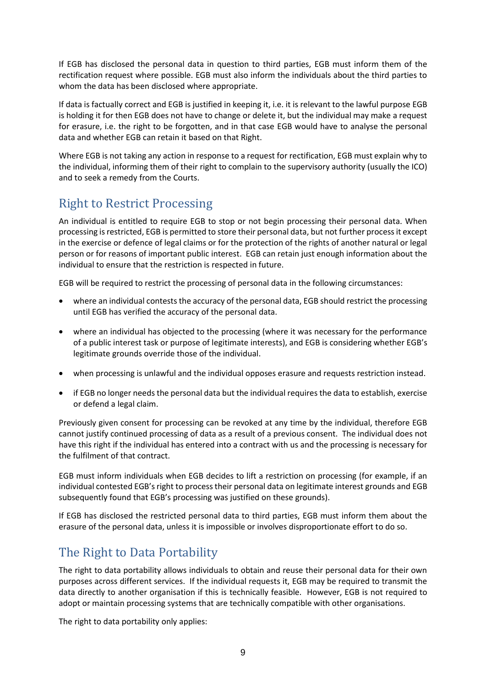If EGB has disclosed the personal data in question to third parties, EGB must inform them of the rectification request where possible. EGB must also inform the individuals about the third parties to whom the data has been disclosed where appropriate.

If data is factually correct and EGB is justified in keeping it, i.e. it is relevant to the lawful purpose EGB is holding it for then EGB does not have to change or delete it, but the individual may make a request for erasure, i.e. the right to be forgotten, and in that case EGB would have to analyse the personal data and whether EGB can retain it based on that Right.

Where EGB is not taking any action in response to a request for rectification, EGB must explain why to the individual, informing them of their right to complain to the supervisory authority (usually the ICO) and to seek a remedy from the Courts.

# Right to Restrict Processing

An individual is entitled to require EGB to stop or not begin processing their personal data. When processing is restricted, EGB is permitted to store their personal data, but not further process it except in the exercise or defence of legal claims or for the protection of the rights of another natural or legal person or for reasons of important public interest. EGB can retain just enough information about the individual to ensure that the restriction is respected in future.

EGB will be required to restrict the processing of personal data in the following circumstances:

- where an individual contests the accuracy of the personal data, EGB should restrict the processing until EGB has verified the accuracy of the personal data.
- where an individual has objected to the processing (where it was necessary for the performance of a public interest task or purpose of legitimate interests), and EGB is considering whether EGB's legitimate grounds override those of the individual.
- when processing is unlawful and the individual opposes erasure and requests restriction instead.
- if EGB no longer needs the personal data but the individual requires the data to establish, exercise or defend a legal claim.

Previously given consent for processing can be revoked at any time by the individual, therefore EGB cannot justify continued processing of data as a result of a previous consent. The individual does not have this right if the individual has entered into a contract with us and the processing is necessary for the fulfilment of that contract.

EGB must inform individuals when EGB decides to lift a restriction on processing (for example, if an individual contested EGB'sright to process their personal data on legitimate interest grounds and EGB subsequently found that EGB's processing was justified on these grounds).

If EGB has disclosed the restricted personal data to third parties, EGB must inform them about the erasure of the personal data, unless it is impossible or involves disproportionate effort to do so.

# The Right to Data Portability

The right to data portability allows individuals to obtain and reuse their personal data for their own purposes across different services. If the individual requests it, EGB may be required to transmit the data directly to another organisation if this is technically feasible. However, EGB is not required to adopt or maintain processing systems that are technically compatible with other organisations.

The right to data portability only applies: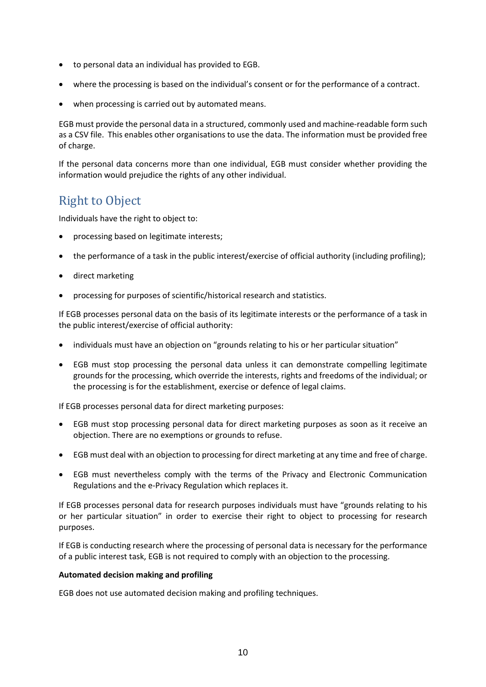- to personal data an individual has provided to EGB.
- where the processing is based on the individual's consent or for the performance of a contract.
- when processing is carried out by automated means.

EGB must provide the personal data in a structured, commonly used and machine-readable form such as a CSV file. This enables other organisations to use the data. The information must be provided free of charge.

If the personal data concerns more than one individual, EGB must consider whether providing the information would prejudice the rights of any other individual.

# Right to Object

Individuals have the right to object to:

- processing based on legitimate interests;
- the performance of a task in the public interest/exercise of official authority (including profiling);
- direct marketing
- processing for purposes of scientific/historical research and statistics.

If EGB processes personal data on the basis of its legitimate interests or the performance of a task in the public interest/exercise of official authority:

- individuals must have an objection on "grounds relating to his or her particular situation"
- EGB must stop processing the personal data unless it can demonstrate compelling legitimate grounds for the processing, which override the interests, rights and freedoms of the individual; or the processing is for the establishment, exercise or defence of legal claims.

If EGB processes personal data for direct marketing purposes:

- EGB must stop processing personal data for direct marketing purposes as soon as it receive an objection. There are no exemptions or grounds to refuse.
- EGB must deal with an objection to processing for direct marketing at any time and free of charge.
- EGB must nevertheless comply with the terms of the Privacy and Electronic Communication Regulations and the e-Privacy Regulation which replaces it.

If EGB processes personal data for research purposes individuals must have "grounds relating to his or her particular situation" in order to exercise their right to object to processing for research purposes.

If EGB is conducting research where the processing of personal data is necessary for the performance of a public interest task, EGB is not required to comply with an objection to the processing.

#### **Automated decision making and profiling**

EGB does not use automated decision making and profiling techniques.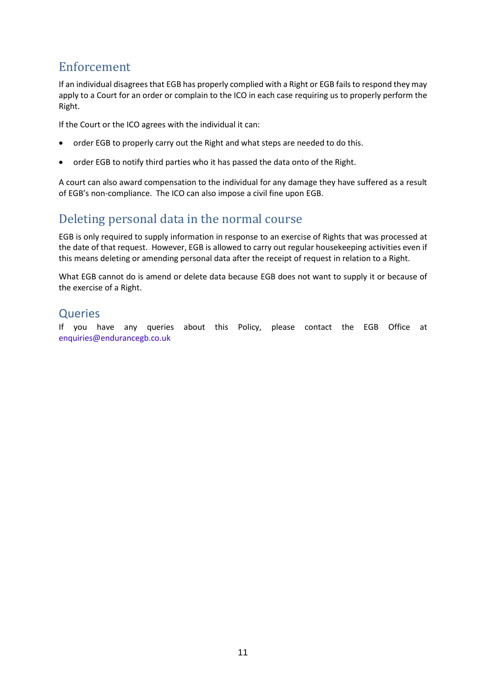#### Enforcement

If an individual disagrees that EGB has properly complied with a Right or EGB fails to respond they may apply to a Court for an order or complain to the ICO in each case requiring us to properly perform the Right.

If the Court or the ICO agrees with the individual it can:

- order EGB to properly carry out the Right and what steps are needed to do this.
- order EGB to notify third parties who it has passed the data onto of the Right.

A court can also award compensation to the individual for any damage they have suffered as a result of EGB's non-compliance. The ICO can also impose a civil fine upon EGB.

# Deleting personal data in the normal course

EGB is only required to supply information in response to an exercise of Rights that was processed at the date of that request. However, EGB is allowed to carry out regular housekeeping activities even if this means deleting or amending personal data after the receipt of request in relation to a Right.

What EGB cannot do is amend or delete data because EGB does not want to supply it or because of the exercise of a Right.

#### **Queries**

If you have any queries about this Policy, please contact the EGB Office at [enquiries@endurancegb.co.uk](mailto:enquiries@endurancegb.co.uk)